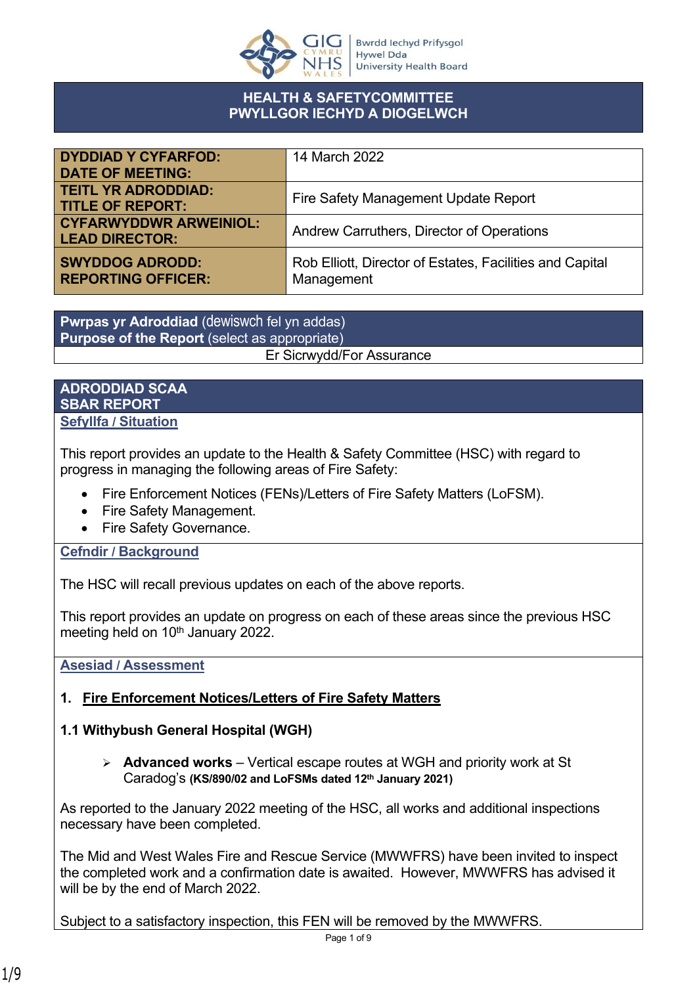

#### **HEALTH & SAFETYCOMMITTEE PWYLLGOR IECHYD A DIOGELWCH**

| <b>DYDDIAD Y CYFARFOD:</b>                             | 14 March 2022                                                          |
|--------------------------------------------------------|------------------------------------------------------------------------|
| <b>DATE OF MEETING:</b>                                |                                                                        |
| <b>TEITL YR ADRODDIAD:</b><br><b>TITLE OF REPORT:</b>  | Fire Safety Management Update Report                                   |
| <b>CYFARWYDDWR ARWEINIOL:</b><br><b>LEAD DIRECTOR:</b> | Andrew Carruthers, Director of Operations                              |
| <b>SWYDDOG ADRODD:</b><br><b>REPORTING OFFICER:</b>    | Rob Elliott, Director of Estates, Facilities and Capital<br>Management |

**Pwrpas yr Adroddiad** (dewiswch fel yn addas) **Purpose of the Report** (select as appropriate) Er Sicrwydd/For Assurance

#### **ADRODDIAD SCAA SBAR REPORT Sefyllfa / Situation**

This report provides an update to the Health & Safety Committee (HSC) with regard to progress in managing the following areas of Fire Safety:

- Fire Enforcement Notices (FENs)/Letters of Fire Safety Matters (LoFSM).
- Fire Safety Management.
- Fire Safety Governance.

# **Cefndir / Background**

The HSC will recall previous updates on each of the above reports.

This report provides an update on progress on each of these areas since the previous HSC meeting held on 10<sup>th</sup> January 2022.

**Asesiad / Assessment**

# **1. Fire Enforcement Notices/Letters of Fire Safety Matters**

# **1.1 Withybush General Hospital (WGH)**

 **Advanced works** – Vertical escape routes at WGH and priority work at St Caradog's **(KS/890/02 and LoFSMs dated 12th January 2021)**

As reported to the January 2022 meeting of the HSC, all works and additional inspections necessary have been completed.

The Mid and West Wales Fire and Rescue Service (MWWFRS) have been invited to inspect the completed work and a confirmation date is awaited. However, MWWFRS has advised it will be by the end of March 2022.

Subject to a satisfactory inspection, this FEN will be removed by the MWWFRS.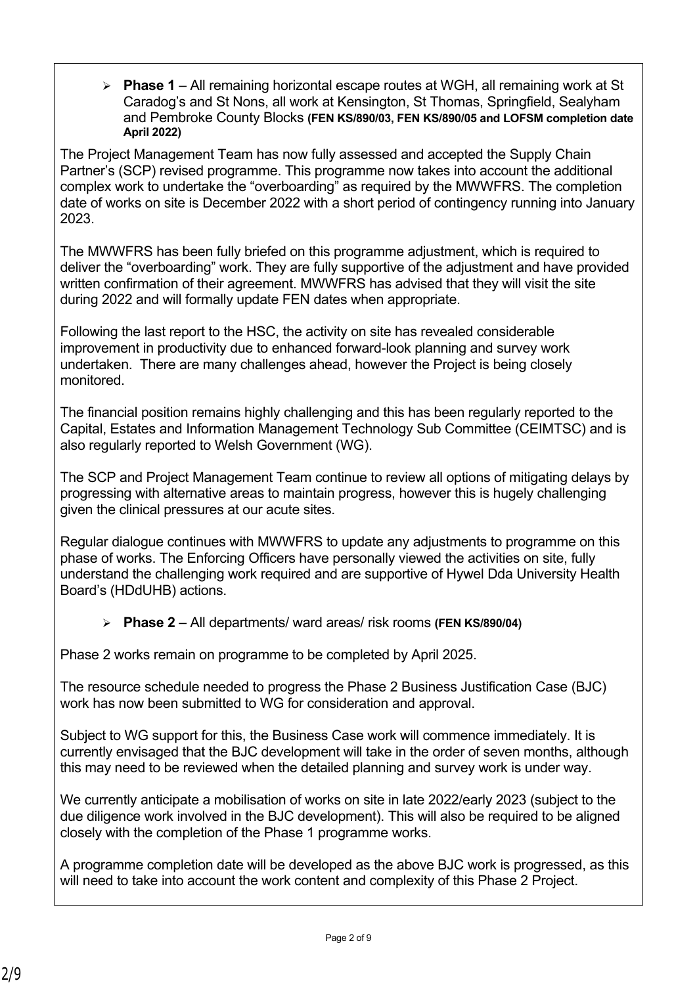**Phase 1** – All remaining horizontal escape routes at WGH, all remaining work at St Caradog's and St Nons, all work at Kensington, St Thomas, Springfield, Sealyham and Pembroke County Blocks **(FEN KS/890/03, FEN KS/890/05 and LOFSM completion date April 2022)**

The Project Management Team has now fully assessed and accepted the Supply Chain Partner's (SCP) revised programme. This programme now takes into account the additional complex work to undertake the "overboarding" as required by the MWWFRS. The completion date of works on site is December 2022 with a short period of contingency running into January 2023.

The MWWFRS has been fully briefed on this programme adjustment, which is required to deliver the "overboarding" work. They are fully supportive of the adjustment and have provided written confirmation of their agreement. MWWFRS has advised that they will visit the site during 2022 and will formally update FEN dates when appropriate.

Following the last report to the HSC, the activity on site has revealed considerable improvement in productivity due to enhanced forward-look planning and survey work undertaken. There are many challenges ahead, however the Project is being closely monitored.

The financial position remains highly challenging and this has been regularly reported to the Capital, Estates and Information Management Technology Sub Committee (CEIMTSC) and is also regularly reported to Welsh Government (WG).

The SCP and Project Management Team continue to review all options of mitigating delays by progressing with alternative areas to maintain progress, however this is hugely challenging given the clinical pressures at our acute sites.

Regular dialogue continues with MWWFRS to update any adjustments to programme on this phase of works. The Enforcing Officers have personally viewed the activities on site, fully understand the challenging work required and are supportive of Hywel Dda University Health Board's (HDdUHB) actions.

**Phase 2** – All departments/ ward areas/ risk rooms **(FEN KS/890/04)**

Phase 2 works remain on programme to be completed by April 2025.

The resource schedule needed to progress the Phase 2 Business Justification Case (BJC) work has now been submitted to WG for consideration and approval.

Subject to WG support for this, the Business Case work will commence immediately. It is currently envisaged that the BJC development will take in the order of seven months, although this may need to be reviewed when the detailed planning and survey work is under way.

We currently anticipate a mobilisation of works on site in late 2022/early 2023 (subject to the due diligence work involved in the BJC development). This will also be required to be aligned closely with the completion of the Phase 1 programme works.

A programme completion date will be developed as the above BJC work is progressed, as this will need to take into account the work content and complexity of this Phase 2 Project.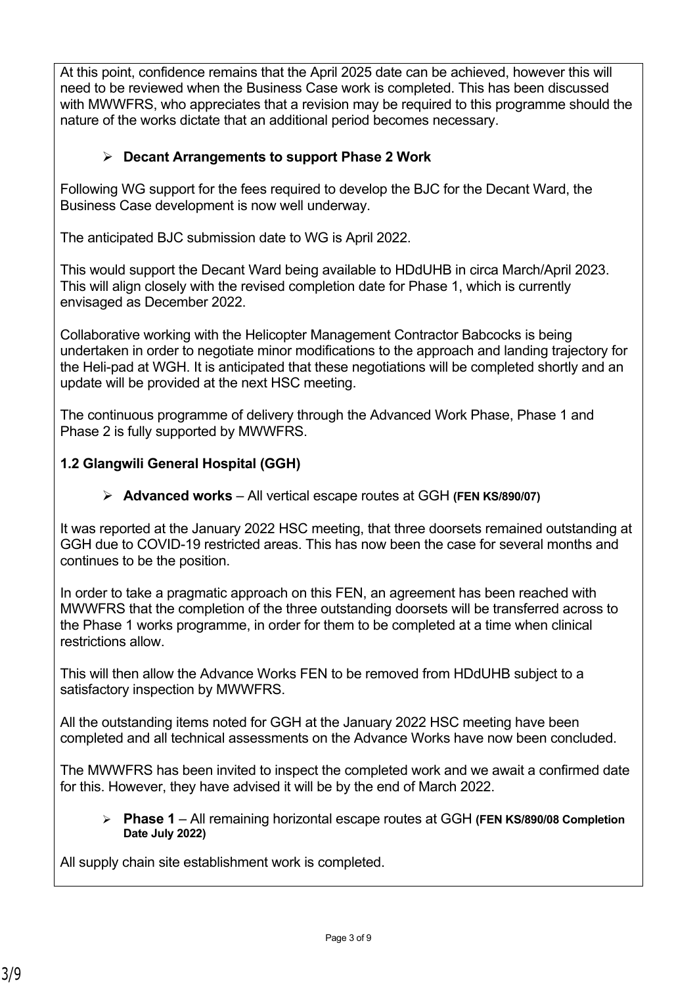At this point, confidence remains that the April 2025 date can be achieved, however this will need to be reviewed when the Business Case work is completed. This has been discussed with MWWFRS, who appreciates that a revision may be required to this programme should the nature of the works dictate that an additional period becomes necessary.

# **Decant Arrangements to support Phase 2 Work**

Following WG support for the fees required to develop the BJC for the Decant Ward, the Business Case development is now well underway.

The anticipated BJC submission date to WG is April 2022.

This would support the Decant Ward being available to HDdUHB in circa March/April 2023. This will align closely with the revised completion date for Phase 1, which is currently envisaged as December 2022.

Collaborative working with the Helicopter Management Contractor Babcocks is being undertaken in order to negotiate minor modifications to the approach and landing trajectory for the Heli-pad at WGH. It is anticipated that these negotiations will be completed shortly and an update will be provided at the next HSC meeting.

The continuous programme of delivery through the Advanced Work Phase, Phase 1 and Phase 2 is fully supported by MWWFRS.

# **1.2 Glangwili General Hospital (GGH)**

**Advanced works** – All vertical escape routes at GGH **(FEN KS/890/07)**

It was reported at the January 2022 HSC meeting, that three doorsets remained outstanding at GGH due to COVID-19 restricted areas. This has now been the case for several months and continues to be the position.

In order to take a pragmatic approach on this FEN, an agreement has been reached with MWWFRS that the completion of the three outstanding doorsets will be transferred across to the Phase 1 works programme, in order for them to be completed at a time when clinical restrictions allow.

This will then allow the Advance Works FEN to be removed from HDdUHB subject to a satisfactory inspection by MWWFRS.

All the outstanding items noted for GGH at the January 2022 HSC meeting have been completed and all technical assessments on the Advance Works have now been concluded.

The MWWFRS has been invited to inspect the completed work and we await a confirmed date for this. However, they have advised it will be by the end of March 2022.

 **Phase 1** – All remaining horizontal escape routes at GGH **(FEN KS/890/08 Completion Date July 2022)**

All supply chain site establishment work is completed.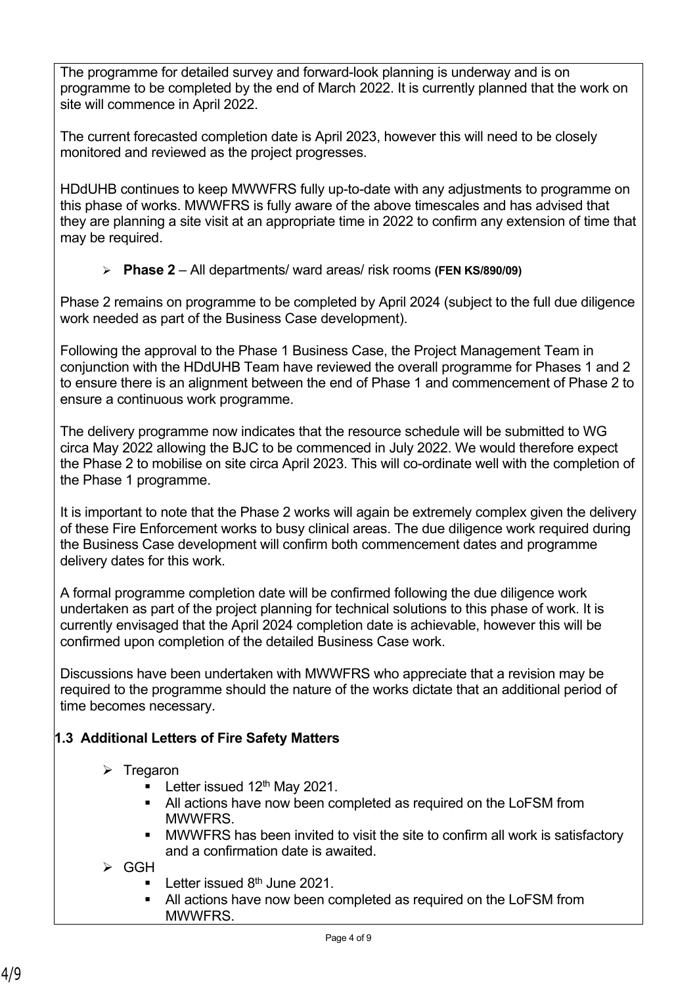The programme for detailed survey and forward-look planning is underway and is on programme to be completed by the end of March 2022. It is currently planned that the work on site will commence in April 2022.

The current forecasted completion date is April 2023, however this will need to be closely monitored and reviewed as the project progresses.

HDdUHB continues to keep MWWFRS fully up-to-date with any adjustments to programme on this phase of works. MWWFRS is fully aware of the above timescales and has advised that they are planning a site visit at an appropriate time in 2022 to confirm any extension of time that may be required.

**Phase 2** – All departments/ ward areas/ risk rooms **(FEN KS/890/09)**

Phase 2 remains on programme to be completed by April 2024 (subject to the full due diligence work needed as part of the Business Case development).

Following the approval to the Phase 1 Business Case, the Project Management Team in conjunction with the HDdUHB Team have reviewed the overall programme for Phases 1 and 2 to ensure there is an alignment between the end of Phase 1 and commencement of Phase 2 to ensure a continuous work programme.

The delivery programme now indicates that the resource schedule will be submitted to WG circa May 2022 allowing the BJC to be commenced in July 2022. We would therefore expect the Phase 2 to mobilise on site circa April 2023. This will co-ordinate well with the completion of the Phase 1 programme.

It is important to note that the Phase 2 works will again be extremely complex given the delivery of these Fire Enforcement works to busy clinical areas. The due diligence work required during the Business Case development will confirm both commencement dates and programme delivery dates for this work.

A formal programme completion date will be confirmed following the due diligence work undertaken as part of the project planning for technical solutions to this phase of work. It is currently envisaged that the April 2024 completion date is achievable, however this will be confirmed upon completion of the detailed Business Case work.

Discussions have been undertaken with MWWFRS who appreciate that a revision may be required to the programme should the nature of the works dictate that an additional period of time becomes necessary.

# **1.3 Additional Letters of Fire Safety Matters**

- $\triangleright$  Tregaron
	- **Letter issued 12th May 2021.**
	- All actions have now been completed as required on the LoFSM from **MWWFRS**
	- MWWFRS has been invited to visit the site to confirm all work is satisfactory and a confirmation date is awaited.
- $\triangleright$  GGH
	- Letter issued 8<sup>th</sup> June 2021.
	- All actions have now been completed as required on the LoFSM from MWWFRS.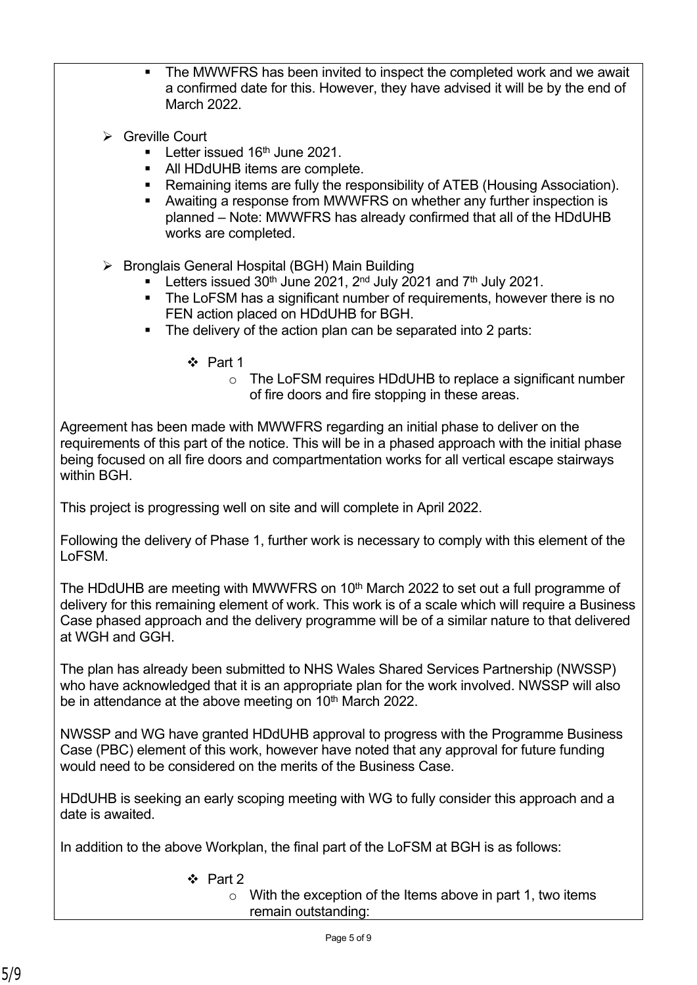- The MWWFRS has been invited to inspect the completed work and we await a confirmed date for this. However, they have advised it will be by the end of March 2022.
- **S** Greville Court
	- **Letter issued 16th June 2021.**
	- All HDdUHB items are complete.
	- Remaining items are fully the responsibility of ATEB (Housing Association).
	- Awaiting a response from MWWFRS on whether any further inspection is planned – Note: MWWFRS has already confirmed that all of the HDdUHB works are completed.
- $\triangleright$  Bronglais General Hospital (BGH) Main Building
	- Letters issued  $30<sup>th</sup>$  June 2021,  $2<sup>nd</sup>$  July 2021 and  $7<sup>th</sup>$  July 2021.
	- The LoFSM has a significant number of requirements, however there is no FEN action placed on HDdUHB for BGH.
	- The delivery of the action plan can be separated into 2 parts:
		- $\div$  Part 1
			- o The LoFSM requires HDdUHB to replace a significant number of fire doors and fire stopping in these areas.

Agreement has been made with MWWFRS regarding an initial phase to deliver on the requirements of this part of the notice. This will be in a phased approach with the initial phase being focused on all fire doors and compartmentation works for all vertical escape stairways within BGH.

This project is progressing well on site and will complete in April 2022.

Following the delivery of Phase 1, further work is necessary to comply with this element of the LoFSM.

The HDdUHB are meeting with MWWFRS on 10<sup>th</sup> March 2022 to set out a full programme of delivery for this remaining element of work. This work is of a scale which will require a Business Case phased approach and the delivery programme will be of a similar nature to that delivered at WGH and GGH.

The plan has already been submitted to NHS Wales Shared Services Partnership (NWSSP) who have acknowledged that it is an appropriate plan for the work involved. NWSSP will also be in attendance at the above meeting on 10<sup>th</sup> March 2022.

NWSSP and WG have granted HDdUHB approval to progress with the Programme Business Case (PBC) element of this work, however have noted that any approval for future funding would need to be considered on the merits of the Business Case.

HDdUHB is seeking an early scoping meeting with WG to fully consider this approach and a date is awaited.

In addition to the above Workplan, the final part of the LoFSM at BGH is as follows:

 $\div$  Part 2

o With the exception of the Items above in part 1, two items remain outstanding: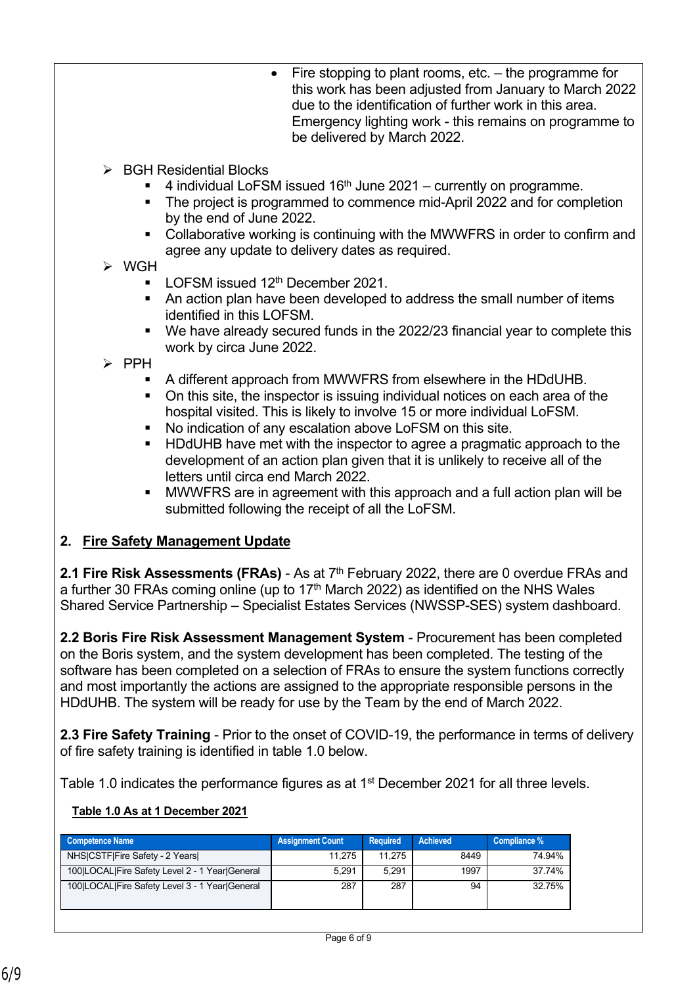- $\bullet$  Fire stopping to plant rooms, etc.  $-$  the programme for this work has been adjusted from January to March 2022 due to the identification of further work in this area. Emergency lighting work - this remains on programme to be delivered by March 2022.
- $\triangleright$  BGH Residential Blocks
	- $\blacksquare$  4 individual LoFSM issued 16<sup>th</sup> June 2021 currently on programme.
	- The project is programmed to commence mid-April 2022 and for completion by the end of June 2022.
	- Collaborative working is continuing with the MWWFRS in order to confirm and agree any update to delivery dates as required.

# WGH

- LOFSM issued  $12<sup>th</sup>$  December 2021.
- An action plan have been developed to address the small number of items identified in this LOFSM.
- We have already secured funds in the 2022/23 financial year to complete this work by circa June 2022.
- $\triangleright$  PPH
	- A different approach from MWWFRS from elsewhere in the HDdUHB.
	- On this site, the inspector is issuing individual notices on each area of the hospital visited. This is likely to involve 15 or more individual LoFSM.
	- No indication of any escalation above LoFSM on this site.
	- HDdUHB have met with the inspector to agree a pragmatic approach to the development of an action plan given that it is unlikely to receive all of the letters until circa end March 2022.
	- MWWFRS are in agreement with this approach and a full action plan will be submitted following the receipt of all the LoFSM.

# **2. Fire Safety Management Update**

**2.1 Fire Risk Assessments (FRAs)** - As at 7<sup>th</sup> February 2022, there are 0 overdue FRAs and a further 30 FRAs coming online (up to  $17<sup>th</sup>$  March 2022) as identified on the NHS Wales Shared Service Partnership – Specialist Estates Services (NWSSP-SES) system dashboard.

**2.2 Boris Fire Risk Assessment Management System** - Procurement has been completed on the Boris system, and the system development has been completed. The testing of the software has been completed on a selection of FRAs to ensure the system functions correctly and most importantly the actions are assigned to the appropriate responsible persons in the HDdUHB. The system will be ready for use by the Team by the end of March 2022.

**2.3 Fire Safety Training** - Prior to the onset of COVID-19, the performance in terms of delivery of fire safety training is identified in table 1.0 below.

Table 1.0 indicates the performance figures as at 1<sup>st</sup> December 2021 for all three levels.

#### **Table 1.0 As at 1 December 2021**

| <b>Competence Name</b>                         | <b>Assignment Count</b> | <b>Required</b> | <b>Achieved</b> | Compliance % |
|------------------------------------------------|-------------------------|-----------------|-----------------|--------------|
| NHS CSTF Fire Safety - 2 Years                 | 11.275                  | 11.275          | 8449            | 74.94%       |
| 100 LOCAL Fire Safety Level 2 - 1 Year General | 5.291                   | 5.291           | 1997            | 37.74%       |
| 100 LOCAL Fire Safety Level 3 - 1 Year General | 287                     | 287             | 94              | 32.75%       |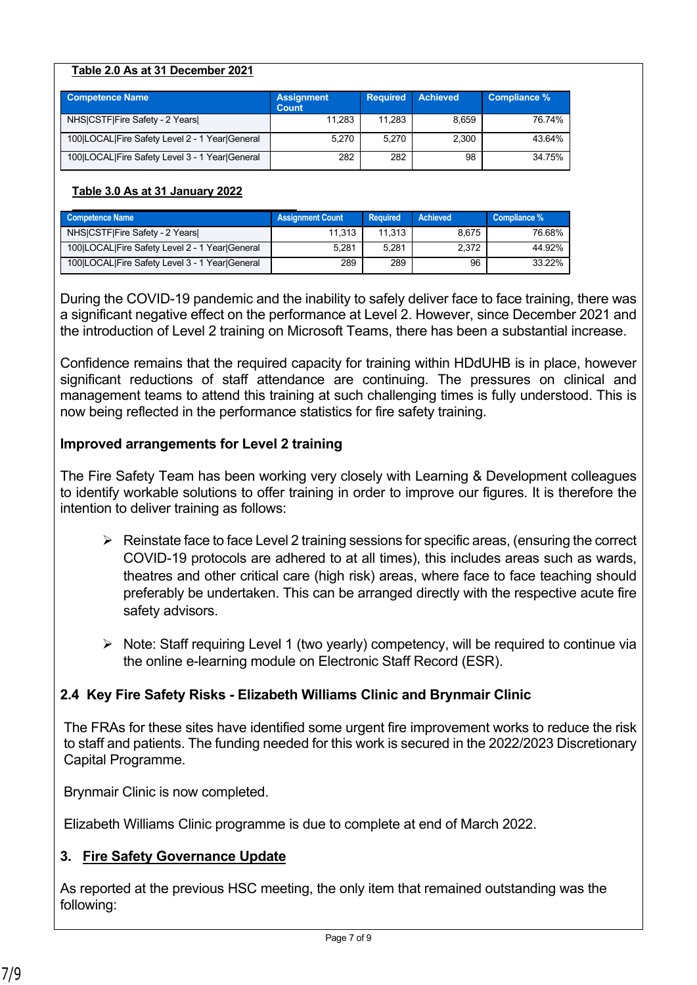#### **Table 2.0 As at 31 December 2021**

| <b>Competence Name</b>                         | <b>Assignment</b><br><b>Count</b> | <b>Required</b> | <b>Achieved</b> | Compliance % |
|------------------------------------------------|-----------------------------------|-----------------|-----------------|--------------|
| NHS CSTF Fire Safety - 2 Years                 | 11,283                            | 11.283          | 8,659           | 76.74%       |
| 100 LOCAL Fire Safety Level 2 - 1 Year General | 5,270                             | 5,270           | 2,300           | 43.64%       |
| 100 LOCAL Fire Safety Level 3 - 1 Year General | 282                               | 282             | 98              | 34.75%       |

#### **Table 3.0 As at 31 January 2022**

| Competence Name                                | <b>Assignment Count</b> | Required | <b>Achieved</b> | Compliance % |
|------------------------------------------------|-------------------------|----------|-----------------|--------------|
| NHSICSTFIFire Safety - 2 Years                 | 11.313                  | 11.313   | 8.675           | 76.68%       |
| 100 LOCAL Fire Safety Level 2 - 1 Year General | 5,281                   | 5.281    | 2,372           | 44.92%       |
| 100 LOCAL Fire Safety Level 3 - 1 Year General | 289                     | 289      | 96              | 33.22%       |

During the COVID-19 pandemic and the inability to safely deliver face to face training, there was a significant negative effect on the performance at Level 2. However, since December 2021 and the introduction of Level 2 training on Microsoft Teams, there has been a substantial increase.

Confidence remains that the required capacity for training within HDdUHB is in place, however significant reductions of staff attendance are continuing. The pressures on clinical and management teams to attend this training at such challenging times is fully understood. This is now being reflected in the performance statistics for fire safety training.

#### **Improved arrangements for Level 2 training**

The Fire Safety Team has been working very closely with Learning & Development colleagues to identify workable solutions to offer training in order to improve our figures. It is therefore the intention to deliver training as follows:

- $\triangleright$  Reinstate face to face Level 2 training sessions for specific areas, (ensuring the correct COVID-19 protocols are adhered to at all times), this includes areas such as wards, theatres and other critical care (high risk) areas, where face to face teaching should preferably be undertaken. This can be arranged directly with the respective acute fire safety advisors.
- $\triangleright$  Note: Staff requiring Level 1 (two yearly) competency, will be required to continue via the online e-learning module on Electronic Staff Record (ESR).

# **2.4 Key Fire Safety Risks - Elizabeth Williams Clinic and Brynmair Clinic**

The FRAs for these sites have identified some urgent fire improvement works to reduce the risk to staff and patients. The funding needed for this work is secured in the 2022/2023 Discretionary Capital Programme.

Brynmair Clinic is now completed.

Elizabeth Williams Clinic programme is due to complete at end of March 2022.

# **3. Fire Safety Governance Update**

As reported at the previous HSC meeting, the only item that remained outstanding was the following: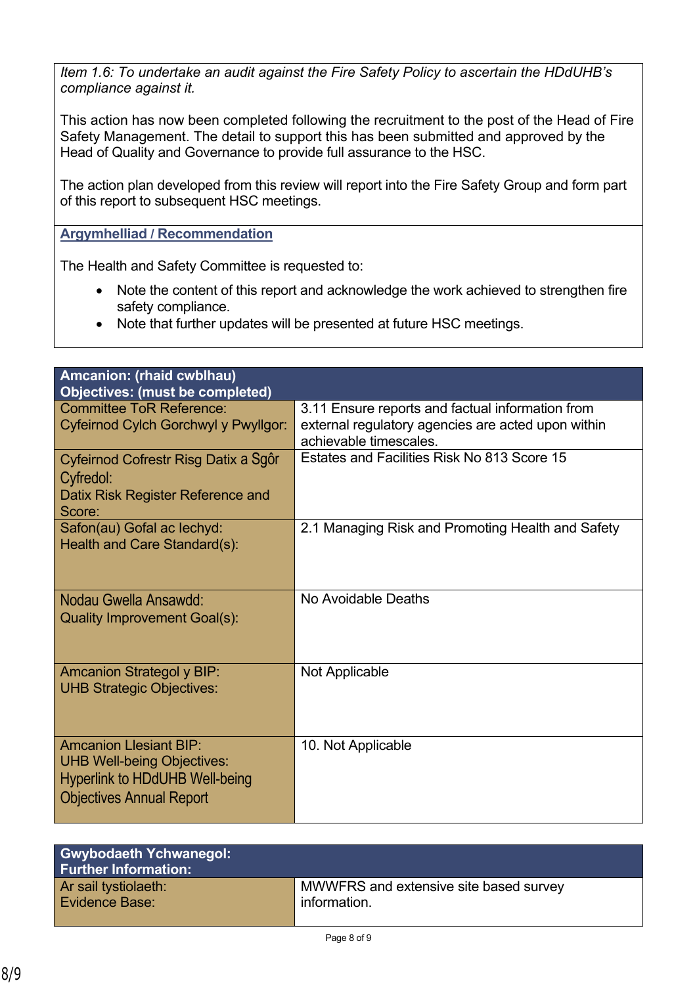*Item 1.6: To undertake an audit against the Fire Safety Policy to ascertain the HDdUHB's compliance against it.*

This action has now been completed following the recruitment to the post of the Head of Fire Safety Management. The detail to support this has been submitted and approved by the Head of Quality and Governance to provide full assurance to the HSC.

The action plan developed from this review will report into the Fire Safety Group and form part of this report to subsequent HSC meetings.

**Argymhelliad / Recommendation**

The Health and Safety Committee is requested to:

- Note the content of this report and acknowledge the work achieved to strengthen fire safety compliance.
- Note that further updates will be presented at future HSC meetings.

| Amcanion: (rhaid cwblhau)              |                                                    |
|----------------------------------------|----------------------------------------------------|
| <b>Objectives: (must be completed)</b> |                                                    |
| <b>Committee ToR Reference:</b>        | 3.11 Ensure reports and factual information from   |
| Cyfeirnod Cylch Gorchwyl y Pwyllgor:   | external regulatory agencies are acted upon within |
|                                        | achievable timescales.                             |
|                                        |                                                    |
| Cyfeirnod Cofrestr Risg Datix a Sgôr   | Estates and Facilities Risk No 813 Score 15        |
| Cyfredol:                              |                                                    |
|                                        |                                                    |
| Datix Risk Register Reference and      |                                                    |
| Score:                                 |                                                    |
| Safon(au) Gofal ac lechyd:             | 2.1 Managing Risk and Promoting Health and Safety  |
| Health and Care Standard(s):           |                                                    |
|                                        |                                                    |
|                                        |                                                    |
|                                        |                                                    |
| Nodau Gwella Ansawdd:                  | No Avoidable Deaths                                |
|                                        |                                                    |
| <b>Quality Improvement Goal(s):</b>    |                                                    |
|                                        |                                                    |
|                                        |                                                    |
|                                        |                                                    |
| <b>Amcanion Strategol y BIP:</b>       | <b>Not Applicable</b>                              |
| <b>UHB Strategic Objectives:</b>       |                                                    |
|                                        |                                                    |
|                                        |                                                    |
|                                        |                                                    |
| <b>Amcanion Llesiant BIP:</b>          | 10. Not Applicable                                 |
| <b>UHB Well-being Objectives:</b>      |                                                    |
| <b>Hyperlink to HDdUHB Well-being</b>  |                                                    |
|                                        |                                                    |
| <b>Objectives Annual Report</b>        |                                                    |
|                                        |                                                    |

| <b>Gwybodaeth Ychwanegol:</b><br><b>Further Information:</b> |                                        |
|--------------------------------------------------------------|----------------------------------------|
| Ar sail tystiolaeth:                                         | MWWFRS and extensive site based survey |
| <b>Evidence Base:</b>                                        | information.                           |